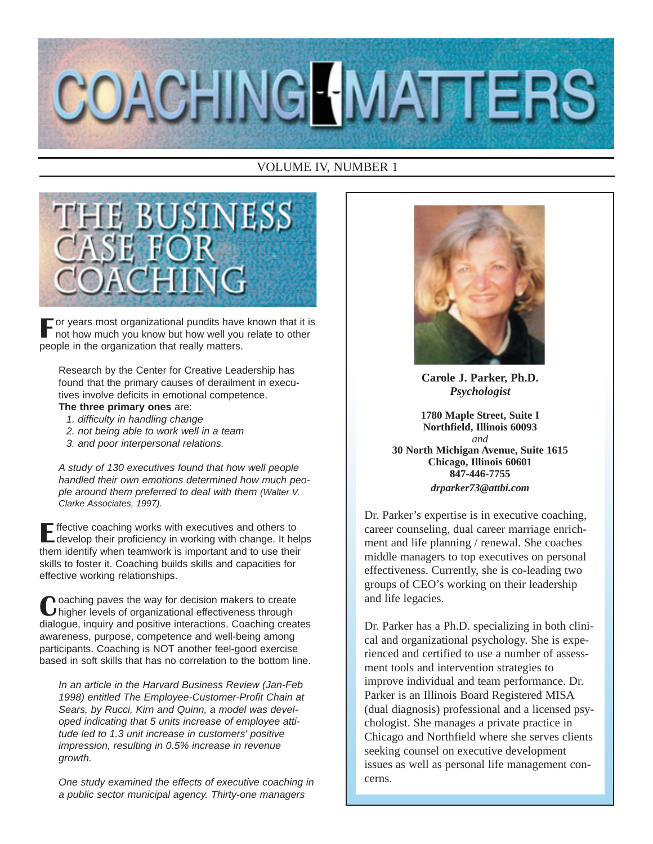

## VOLUME IV, NUMBER 1



 $\Box$  or years most organizational pundits have known that it is not how much you know but how well you relate to other people in the organization that really matters.

Research by the Center for Creative Leadership has found that the primary causes of derailment in executives involve deficits in emotional competence.

### **The three primary ones** are:

- 1. difficulty in handling change
- 2. not being able to work well in a team
- 3. and poor interpersonal relations.

A study of 130 executives found that how well people handled their own emotions determined how much people around them preferred to deal with them (Walter V. Clarke Associates, 1997).

Effective coaching works with executives and others to develop their proficiency in working with change. It helps them identify when teamwork is important and to use their skills to foster it. Coaching builds skills and capacities for effective working relationships.

Coaching paves the way for decision makers to create higher levels of organizational effectiveness through dialogue, inquiry and positive interactions. Coaching creates awareness, purpose, competence and well-being among participants. Coaching is NOT another feel-good exercise based in soft skills that has no correlation to the bottom line.

In an article in the Harvard Business Review (Jan-Feb 1998) entitled The Employee-Customer-Profit Chain at Sears, by Rucci, Kirn and Quinn, a model was developed indicating that 5 units increase of employee attitude led to 1.3 unit increase in customers' positive impression, resulting in 0.5% increase in revenue growth.

One study examined the effects of executive coaching in a public sector municipal agency. Thirty-one managers



**Carole J. Parker, Ph.D.** *Psychologist*

**1780 Maple Street, Suite I Northfield, Illinois 60093** *and* **30 North Michigan Avenue, Suite 1615 Chicago, Illinois 60601 847-446-7755** *drparker73@attbi.com*

Dr. Parker's expertise is in executive coaching, career counseling, dual career marriage enrichment and life planning / renewal. She coaches middle managers to top executives on personal effectiveness. Currently, she is co-leading two groups of CEO's working on their leadership and life legacies.

Dr. Parker has a Ph.D. specializing in both clinical and organizational psychology. She is experienced and certified to use a number of assessment tools and intervention strategies to improve individual and team performance. Dr. Parker is an Illinois Board Registered MISA (dual diagnosis) professional and a licensed psychologist. She manages a private practice in Chicago and Northfield where she serves clients seeking counsel on executive development issues as well as personal life management concerns.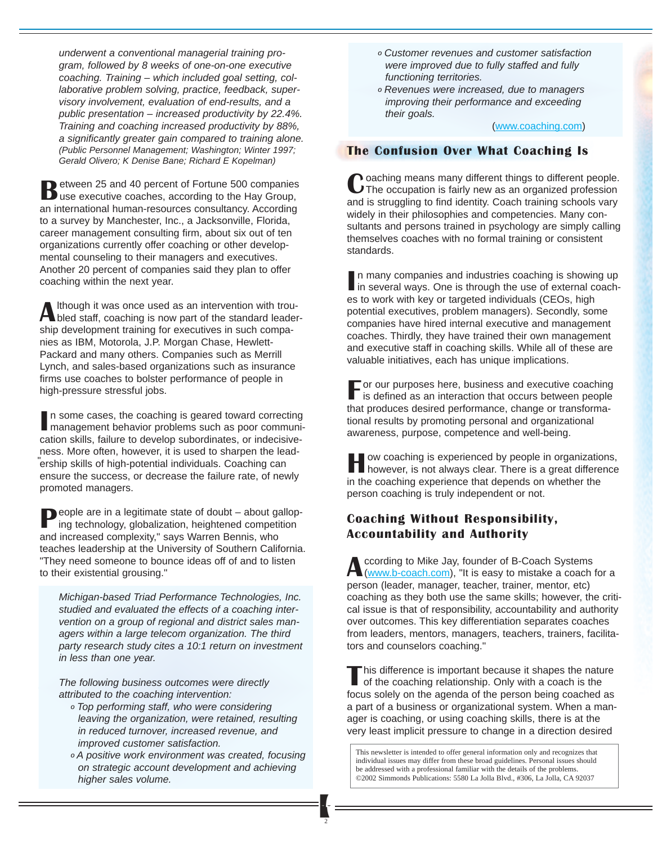underwent a conventional managerial training program, followed by 8 weeks of one-on-one executive coaching. Training – which included goal setting, collaborative problem solving, practice, feedback, supervisory involvement, evaluation of end-results, and a public presentation – increased productivity by 22.4%. Training and coaching increased productivity by 88%, a significantly greater gain compared to training alone. (Public Personnel Management; Washington; Winter 1997; Gerald Olivero; K Denise Bane; Richard E Kopelman)

Between 25 and 40 percent of Fortune 500 companies use executive coaches, according to the Hay Group, an international human-resources consultancy. According to a survey by Manchester, Inc., a Jacksonville, Florida, career management consulting firm, about six out of ten organizations currently offer coaching or other developmental counseling to their managers and executives. Another 20 percent of companies said they plan to offer coaching within the next year.

Although it was once used as an intervention with trou-<br>bled staff, coaching is now part of the standard leadership development training for executives in such companies as IBM, Motorola, J.P. Morgan Chase, Hewlett-Packard and many others. Companies such as Merrill Lynch, and sales-based organizations such as insurance firms use coaches to bolster performance of people in high-pressure stressful jobs.

In some cases, the coaching is geared toward correcting<br>management behavior problems such as poor communin some cases, the coaching is geared toward correcting cation skills, failure to develop subordinates, or indecisiveness. More often, however, it is used to sharpen the leadership skills of high-potential individuals. Coaching can "ensure the success, or decrease the failure rate, of newly promoted managers.

People are in a legitimate state of doubt – about galloping technology, globalization, heightened competition and increased complexity," says Warren Bennis, who teaches leadership at the University of Southern California. "They need someone to bounce ideas off of and to listen to their existential grousing."

Michigan-based Triad Performance Technologies, Inc. studied and evaluated the effects of a coaching intervention on a group of regional and district sales managers within a large telecom organization. The third party research study cites a 10:1 return on investment in less than one year.

The following business outcomes were directly attributed to the coaching intervention:

- º Top performing staff, who were considering leaving the organization, were retained, resulting in reduced turnover, increased revenue, and improved customer satisfaction.
- º A positive work environment was created, focusing on strategic account development and achieving higher sales volume.
- º Customer revenues and customer satisfaction were improved due to fully staffed and fully functioning territories.
- º Revenues were increased, due to managers improving their performance and exceeding their goals.

(www.coaching.com)

# The Confusion Over What Coaching Is

 $\bullet$  oaching means many different things to different people. The occupation is fairly new as an organized profession and is struggling to find identity. Coach training schools vary widely in their philosophies and competencies. Many consultants and persons trained in psychology are simply calling themselves coaches with no formal training or consistent standards.

In many companies and industries coaching is showing up<br>in several ways. One is through the use of external coach in several ways. One is through the use of external coaches to work with key or targeted individuals (CEOs, high potential executives, problem managers). Secondly, some companies have hired internal executive and management coaches. Thirdly, they have trained their own management and executive staff in coaching skills. While all of these are valuable initiatives, each has unique implications.

F or our purposes here, business and executive coaching is defined as an interaction that occurs between people that produces desired performance, change or transformational results by promoting personal and organizational awareness, purpose, competence and well-being.

How coaching is experienced by people in organizations, however, is not always clear. There is a great difference in the coaching experience that depends on whether the person coaching is truly independent or not.

# Coaching Without Responsibility, Accountability and Authority

**A** ccording to Mike Jay, founder of B-Coach Systems<br>(www.b-coach.com), "It is easy to mistake a coach for a person (leader, manager, teacher, trainer, mentor, etc) coaching as they both use the same skills; however, the critical issue is that of responsibility, accountability and authority over outcomes. This key differentiation separates coaches from leaders, mentors, managers, teachers, trainers, facilitators and counselors coaching."

this difference is important because it shapes the nature of the coaching relationship. Only with a coach is the focus solely on the agenda of the person being coached as a part of a business or organizational system. When a manager is coaching, or using coaching skills, there is at the very least implicit pressure to change in a direction desired

This newsletter is intended to offer general information only and recognizes that individual issues may differ from these broad guidelines. Personal issues should be addressed with a professional familiar with the details of the problems. ©2002 Simmonds Publications: 5580 La Jolla Blvd., #306, La Jolla, CA 92037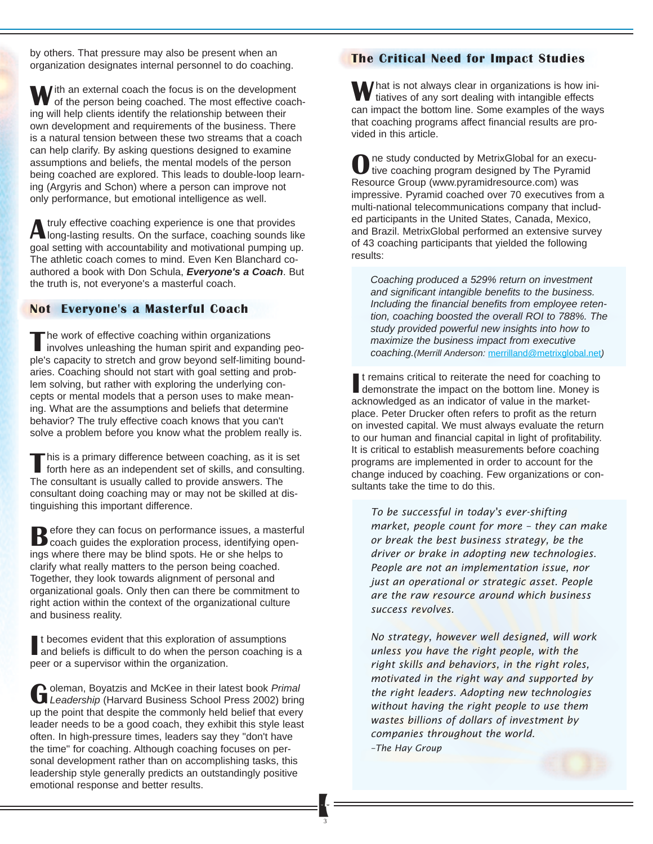by others. That pressure may also be present when an organization designates internal personnel to do coaching.

With an external coach the focus is on the development of the person being coached. The most effective coaching will help clients identify the relationship between their own development and requirements of the business. There is a natural tension between these two streams that a coach can help clarify. By asking questions designed to examine assumptions and beliefs, the mental models of the person being coached are explored. This leads to double-loop learning (Argyris and Schon) where a person can improve not only performance, but emotional intelligence as well.

Atruly effective coaching experience is one that provides long-lasting results. On the surface, coaching sounds like goal setting with accountability and motivational pumping up. The athletic coach comes to mind. Even Ken Blanchard coauthored a book with Don Schula, **Everyone's a Coach**. But the truth is, not everyone's a masterful coach.

#### Not Everyone's a Masterful Coach

The work of effective coaching within organizations involves unleashing the human spirit and expanding people's capacity to stretch and grow beyond self-limiting boundaries. Coaching should not start with goal setting and problem solving, but rather with exploring the underlying concepts or mental models that a person uses to make meaning. What are the assumptions and beliefs that determine behavior? The truly effective coach knows that you can't solve a problem before you know what the problem really is.

This is a primary difference between coaching, as it is set forth here as an independent set of skills, and consulting. The consultant is usually called to provide answers. The consultant doing coaching may or may not be skilled at distinguishing this important difference.

**B** efore they can focus on performance issues, a masterful coach guides the exploration process, identifying openings where there may be blind spots. He or she helps to clarify what really matters to the person being coached. Together, they look towards alignment of personal and organizational goals. Only then can there be commitment to right action within the context of the organizational culture and business reality.

It becomes evident that this exploration of assumptions<br>and beliefs is difficult to do when the person coaching is a t becomes evident that this exploration of assumptions peer or a supervisor within the organization.

Goleman, Boyatzis and McKee in their latest book Primal<br>Leadership (Harvard Business School Press 2002) bring up the point that despite the commonly held belief that every leader needs to be a good coach, they exhibit this style least often. In high-pressure times, leaders say they "don't have the time" for coaching. Although coaching focuses on personal development rather than on accomplishing tasks, this leadership style generally predicts an outstandingly positive emotional response and better results.

# The Critical Need for Impact Studies

What is not always clear in organizations is how initiatives of any sort dealing with intangible effects can impact the bottom line. Some examples of the ways that coaching programs affect financial results are provided in this article.

One study conducted by MetrixGlobal for an execu-<br>tive coaching program designed by The Pyramid Resource Group (www.pyramidresource.com) was impressive. Pyramid coached over 70 executives from a multi-national telecommunications company that included participants in the United States, Canada, Mexico, and Brazil. MetrixGlobal performed an extensive survey of 43 coaching participants that yielded the following results:

Coaching produced a 529% return on investment and significant intangible benefits to the business. Including the financial benefits from employee retention, coaching boosted the overall ROI to 788%. The study provided powerful new insights into how to maximize the business impact from executive coaching.(Merrill Anderson: merrilland@metrixglobal.net)

It remains critical to reiterate the need for coaching<br>demonstrate the impact on the bottom line. Money<br>acknowledged as an indicator of value in the markett remains critical to reiterate the need for coaching to demonstrate the impact on the bottom line. Money is place. Peter Drucker often refers to profit as the return on invested capital. We must always evaluate the return to our human and financial capital in light of profitability. It is critical to establish measurements before coaching programs are implemented in order to account for the change induced by coaching. Few organizations or consultants take the time to do this.

To be successful in today's ever-shifting market, people count for more – they can make or break the best business strategy, be the driver or brake in adopting new technologies. People are not an implementation issue, nor just an operational or strategic asset. People are the raw resource around which business success revolves.

No strategy, however well designed, will work unless you have the right people, with the right skills and behaviors, in the right roles, motivated in the right way and supported by the right leaders. Adopting new technologies without having the right people to use them wastes billions of dollars of investment by companies throughout the world. –The Hay Group